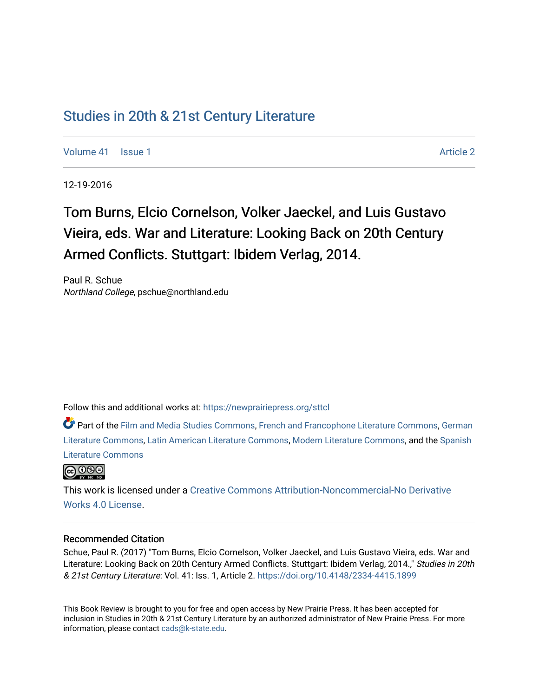# [Studies in 20th & 21st Century Literature](https://newprairiepress.org/sttcl)

[Volume 41](https://newprairiepress.org/sttcl/vol41) | [Issue 1](https://newprairiepress.org/sttcl/vol41/iss1) [Article 2](https://newprairiepress.org/sttcl/vol41/iss1/2) | Article 2 | Article 2 | Article 2 | Article 2 | Article 2 | Article 2 | Article 2 | Article 2 | Article 2 | Article 2 | Article 2 | Article 2 | Article 2 | Article 2 | Article 2 | Article 2

12-19-2016

# Tom Burns, Elcio Cornelson, Volker Jaeckel, and Luis Gustavo Vieira, eds. War and Literature: Looking Back on 20th Century Armed Conflicts. Stuttgart: Ibidem Verlag, 2014.

Paul R. Schue Northland College, pschue@northland.edu

Follow this and additional works at: [https://newprairiepress.org/sttcl](https://newprairiepress.org/sttcl?utm_source=newprairiepress.org%2Fsttcl%2Fvol41%2Fiss1%2F2&utm_medium=PDF&utm_campaign=PDFCoverPages) 

Part of the [Film and Media Studies Commons,](http://network.bepress.com/hgg/discipline/563?utm_source=newprairiepress.org%2Fsttcl%2Fvol41%2Fiss1%2F2&utm_medium=PDF&utm_campaign=PDFCoverPages) [French and Francophone Literature Commons,](http://network.bepress.com/hgg/discipline/465?utm_source=newprairiepress.org%2Fsttcl%2Fvol41%2Fiss1%2F2&utm_medium=PDF&utm_campaign=PDFCoverPages) [German](http://network.bepress.com/hgg/discipline/469?utm_source=newprairiepress.org%2Fsttcl%2Fvol41%2Fiss1%2F2&utm_medium=PDF&utm_campaign=PDFCoverPages) [Literature Commons,](http://network.bepress.com/hgg/discipline/469?utm_source=newprairiepress.org%2Fsttcl%2Fvol41%2Fiss1%2F2&utm_medium=PDF&utm_campaign=PDFCoverPages) [Latin American Literature Commons,](http://network.bepress.com/hgg/discipline/547?utm_source=newprairiepress.org%2Fsttcl%2Fvol41%2Fiss1%2F2&utm_medium=PDF&utm_campaign=PDFCoverPages) [Modern Literature Commons](http://network.bepress.com/hgg/discipline/1050?utm_source=newprairiepress.org%2Fsttcl%2Fvol41%2Fiss1%2F2&utm_medium=PDF&utm_campaign=PDFCoverPages), and the [Spanish](http://network.bepress.com/hgg/discipline/550?utm_source=newprairiepress.org%2Fsttcl%2Fvol41%2Fiss1%2F2&utm_medium=PDF&utm_campaign=PDFCoverPages)  [Literature Commons](http://network.bepress.com/hgg/discipline/550?utm_source=newprairiepress.org%2Fsttcl%2Fvol41%2Fiss1%2F2&utm_medium=PDF&utm_campaign=PDFCoverPages) 



This work is licensed under a [Creative Commons Attribution-Noncommercial-No Derivative](https://creativecommons.org/licenses/by-nc-nd/4.0/)  [Works 4.0 License](https://creativecommons.org/licenses/by-nc-nd/4.0/).

#### Recommended Citation

Schue, Paul R. (2017) "Tom Burns, Elcio Cornelson, Volker Jaeckel, and Luis Gustavo Vieira, eds. War and Literature: Looking Back on 20th Century Armed Conflicts. Stuttgart: Ibidem Verlag, 2014.," Studies in 20th & 21st Century Literature: Vol. 41: Iss. 1, Article 2. <https://doi.org/10.4148/2334-4415.1899>

This Book Review is brought to you for free and open access by New Prairie Press. It has been accepted for inclusion in Studies in 20th & 21st Century Literature by an authorized administrator of New Prairie Press. For more information, please contact [cads@k-state.edu](mailto:cads@k-state.edu).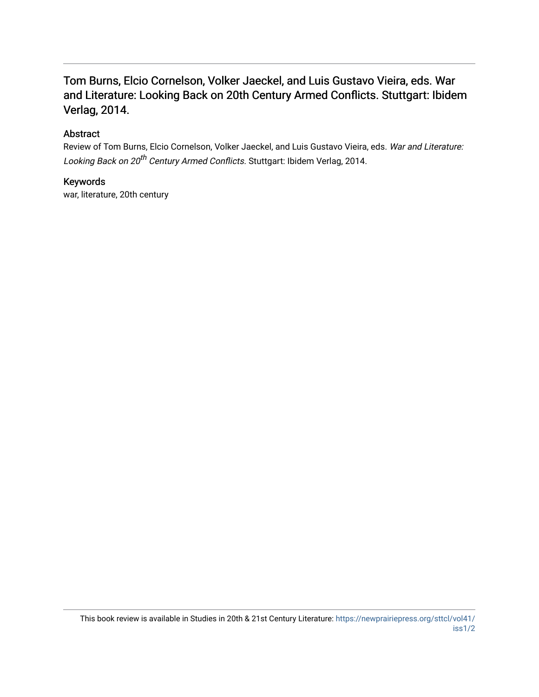## Tom Burns, Elcio Cornelson, Volker Jaeckel, and Luis Gustavo Vieira, eds. War and Literature: Looking Back on 20th Century Armed Conflicts. Stuttgart: Ibidem Verlag, 2014.

### Abstract

Review of Tom Burns, Elcio Cornelson, Volker Jaeckel, and Luis Gustavo Vieira, eds. War and Literature: Looking Back on 20<sup>th</sup> Century Armed Conflicts. Stuttgart: Ibidem Verlag, 2014.

#### Keywords

war, literature, 20th century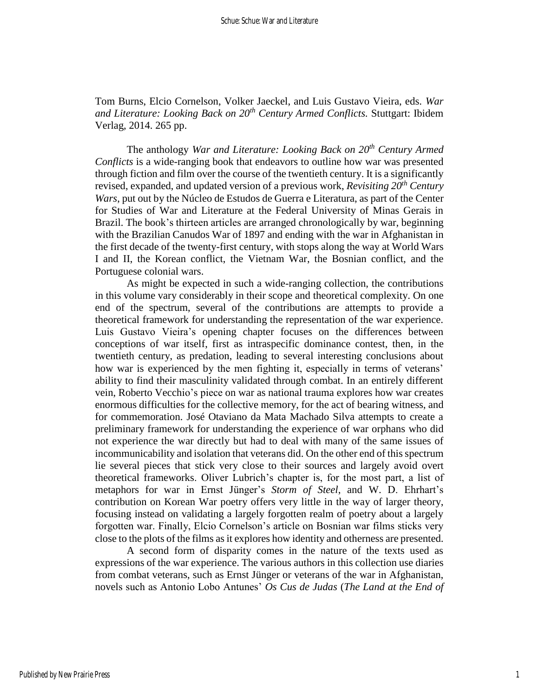Tom Burns, Elcio Cornelson, Volker Jaeckel, and Luis Gustavo Vieira, eds. *War and Literature: Looking Back on 20th Century Armed Conflicts.* Stuttgart: Ibidem Verlag, 2014. 265 pp.

The anthology *War and Literature: Looking Back on 20th Century Armed Conflicts* is a wide-ranging book that endeavors to outline how war was presented through fiction and film over the course of the twentieth century. It is a significantly revised, expanded, and updated version of a previous work, *Revisiting 20 th Century Wars*, put out by the Núcleo de Estudos de Guerra e Literatura, as part of the Center for Studies of War and Literature at the Federal University of Minas Gerais in Brazil. The book's thirteen articles are arranged chronologically by war, beginning with the Brazilian Canudos War of 1897 and ending with the war in Afghanistan in the first decade of the twenty-first century, with stops along the way at World Wars I and II, the Korean conflict, the Vietnam War, the Bosnian conflict, and the Portuguese colonial wars.

As might be expected in such a wide-ranging collection, the contributions in this volume vary considerably in their scope and theoretical complexity. On one end of the spectrum, several of the contributions are attempts to provide a theoretical framework for understanding the representation of the war experience. Luis Gustavo Vieira's opening chapter focuses on the differences between conceptions of war itself, first as intraspecific dominance contest, then, in the twentieth century, as predation, leading to several interesting conclusions about how war is experienced by the men fighting it, especially in terms of veterans' ability to find their masculinity validated through combat. In an entirely different vein, Roberto Vecchio's piece on war as national trauma explores how war creates enormous difficulties for the collective memory, for the act of bearing witness, and for commemoration. José Otaviano da Mata Machado Silva attempts to create a preliminary framework for understanding the experience of war orphans who did not experience the war directly but had to deal with many of the same issues of incommunicability and isolation that veterans did. On the other end of this spectrum lie several pieces that stick very close to their sources and largely avoid overt theoretical frameworks. Oliver Lubrich's chapter is, for the most part, a list of metaphors for war in Ernst Jünger's *Storm of Steel*, and W. D. Ehrhart's contribution on Korean War poetry offers very little in the way of larger theory, focusing instead on validating a largely forgotten realm of poetry about a largely forgotten war. Finally, Elcio Cornelson's article on Bosnian war films sticks very close to the plots of the films as it explores how identity and otherness are presented.

A second form of disparity comes in the nature of the texts used as expressions of the war experience. The various authors in this collection use diaries from combat veterans, such as Ernst Jünger or veterans of the war in Afghanistan, novels such as Antonio Lobo Antunes' *Os Cus de Judas* (*The Land at the End of*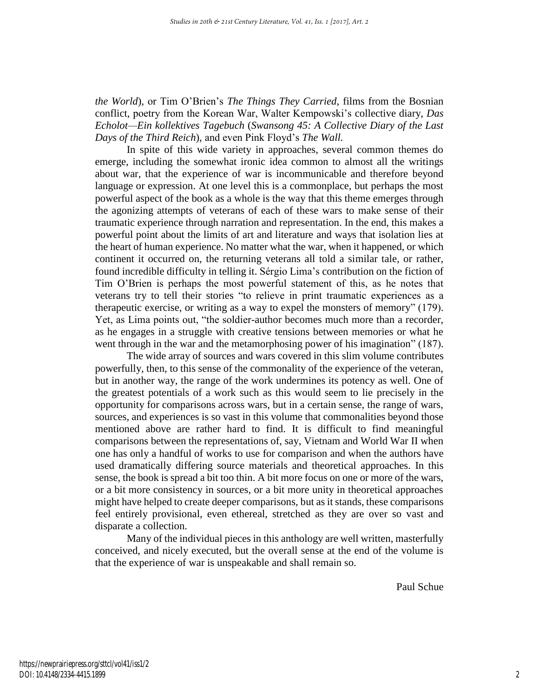*the World*), or Tim O'Brien's *The Things They Carried*, films from the Bosnian conflict, poetry from the Korean War, Walter Kempowski's collective diary, *Das Echolot—Ein kollektives Tagebuch* (*Swansong 45: A Collective Diary of the Last Days of the Third Reich*), and even Pink Floyd's *The Wall.*

In spite of this wide variety in approaches, several common themes do emerge, including the somewhat ironic idea common to almost all the writings about war, that the experience of war is incommunicable and therefore beyond language or expression. At one level this is a commonplace, but perhaps the most powerful aspect of the book as a whole is the way that this theme emerges through the agonizing attempts of veterans of each of these wars to make sense of their traumatic experience through narration and representation. In the end, this makes a powerful point about the limits of art and literature and ways that isolation lies at the heart of human experience. No matter what the war, when it happened, or which continent it occurred on, the returning veterans all told a similar tale, or rather, found incredible difficulty in telling it. Sérgio Lima's contribution on the fiction of Tim O'Brien is perhaps the most powerful statement of this, as he notes that veterans try to tell their stories "to relieve in print traumatic experiences as a therapeutic exercise, or writing as a way to expel the monsters of memory" (179). Yet, as Lima points out, "the soldier-author becomes much more than a recorder, as he engages in a struggle with creative tensions between memories or what he went through in the war and the metamorphosing power of his imagination" (187).

The wide array of sources and wars covered in this slim volume contributes powerfully, then, to this sense of the commonality of the experience of the veteran, but in another way, the range of the work undermines its potency as well. One of the greatest potentials of a work such as this would seem to lie precisely in the opportunity for comparisons across wars, but in a certain sense, the range of wars, sources, and experiences is so vast in this volume that commonalities beyond those mentioned above are rather hard to find. It is difficult to find meaningful comparisons between the representations of, say, Vietnam and World War II when one has only a handful of works to use for comparison and when the authors have used dramatically differing source materials and theoretical approaches. In this sense, the book is spread a bit too thin. A bit more focus on one or more of the wars, or a bit more consistency in sources, or a bit more unity in theoretical approaches might have helped to create deeper comparisons, but as it stands, these comparisons feel entirely provisional, even ethereal, stretched as they are over so vast and disparate a collection.

Many of the individual pieces in this anthology are well written, masterfully conceived, and nicely executed, but the overall sense at the end of the volume is that the experience of war is unspeakable and shall remain so.

Paul Schue